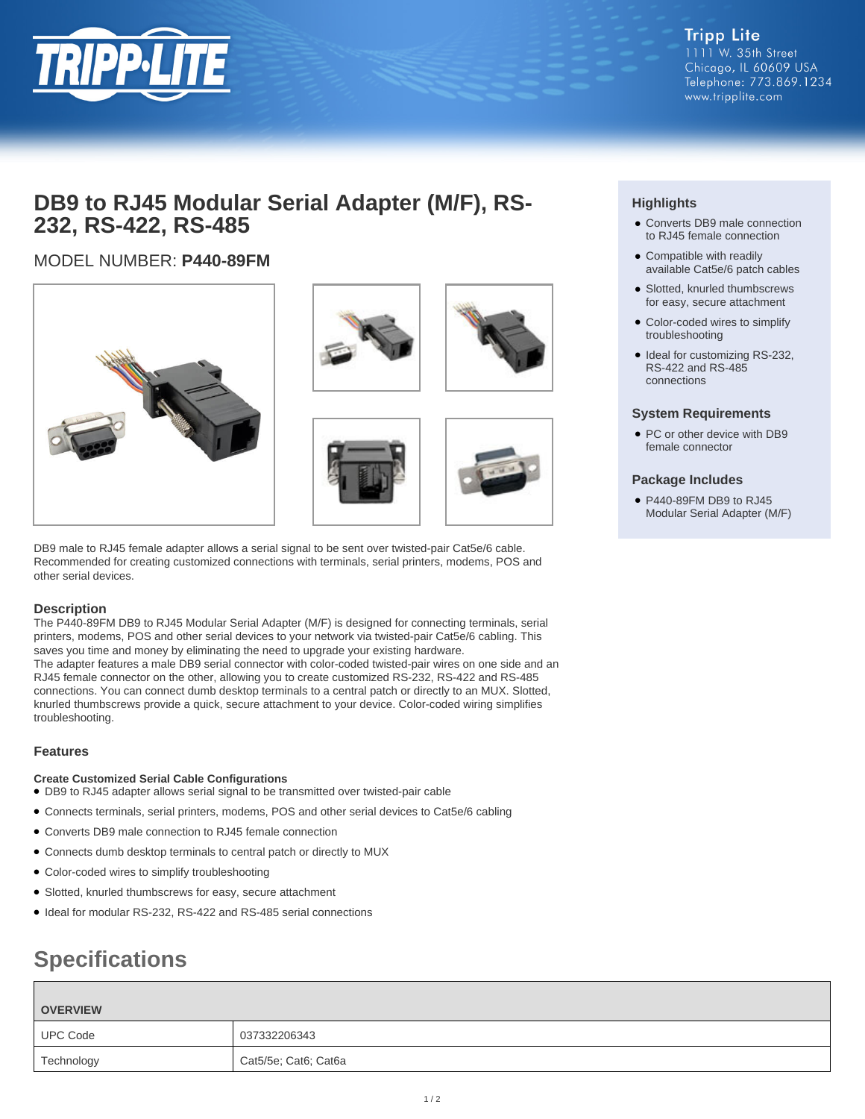

**Tripp Lite** 1111 W. 35th Street Chicago, IL 60609 USA Telephone: 773.869.1234 www.tripplite.com

## **DB9 to RJ45 Modular Serial Adapter (M/F), RS-232, RS-422, RS-485**

## MODEL NUMBER: **P440-89FM**







DB9 male to RJ45 female adapter allows a serial signal to be sent over twisted-pair Cat5e/6 cable. Recommended for creating customized connections with terminals, serial printers, modems, POS and other serial devices.

### **Description**

The P440-89FM DB9 to RJ45 Modular Serial Adapter (M/F) is designed for connecting terminals, serial printers, modems, POS and other serial devices to your network via twisted-pair Cat5e/6 cabling. This saves you time and money by eliminating the need to upgrade your existing hardware. The adapter features a male DB9 serial connector with color-coded twisted-pair wires on one side and an RJ45 female connector on the other, allowing you to create customized RS-232, RS-422 and RS-485 connections. You can connect dumb desktop terminals to a central patch or directly to an MUX. Slotted, knurled thumbscrews provide a quick, secure attachment to your device. Color-coded wiring simplifies troubleshooting.

### **Features**

### **Create Customized Serial Cable Configurations**

- DB9 to RJ45 adapter allows serial signal to be transmitted over twisted-pair cable
- Connects terminals, serial printers, modems, POS and other serial devices to Cat5e/6 cabling
- Converts DB9 male connection to RJ45 female connection
- Connects dumb desktop terminals to central patch or directly to MUX
- Color-coded wires to simplify troubleshooting
- Slotted, knurled thumbscrews for easy, secure attachment
- Ideal for modular RS-232, RS-422 and RS-485 serial connections

## **Specifications**

# **OVERVIEW** UPC Code 037332206343 Technology **Cat5/5e**; Cat6; Cat6a

## **Highlights**

- Converts DB9 male connection to RJ45 female connection
- Compatible with readily available Cat5e/6 patch cables
- Slotted, knurled thumbscrews for easy, secure attachment
- Color-coded wires to simplify troubleshooting
- Ideal for customizing RS-232, RS-422 and RS-485 connections

#### **System Requirements**

• PC or other device with DB9 female connector

#### **Package Includes**

● P440-89FM DB9 to RJ45 Modular Serial Adapter (M/F)